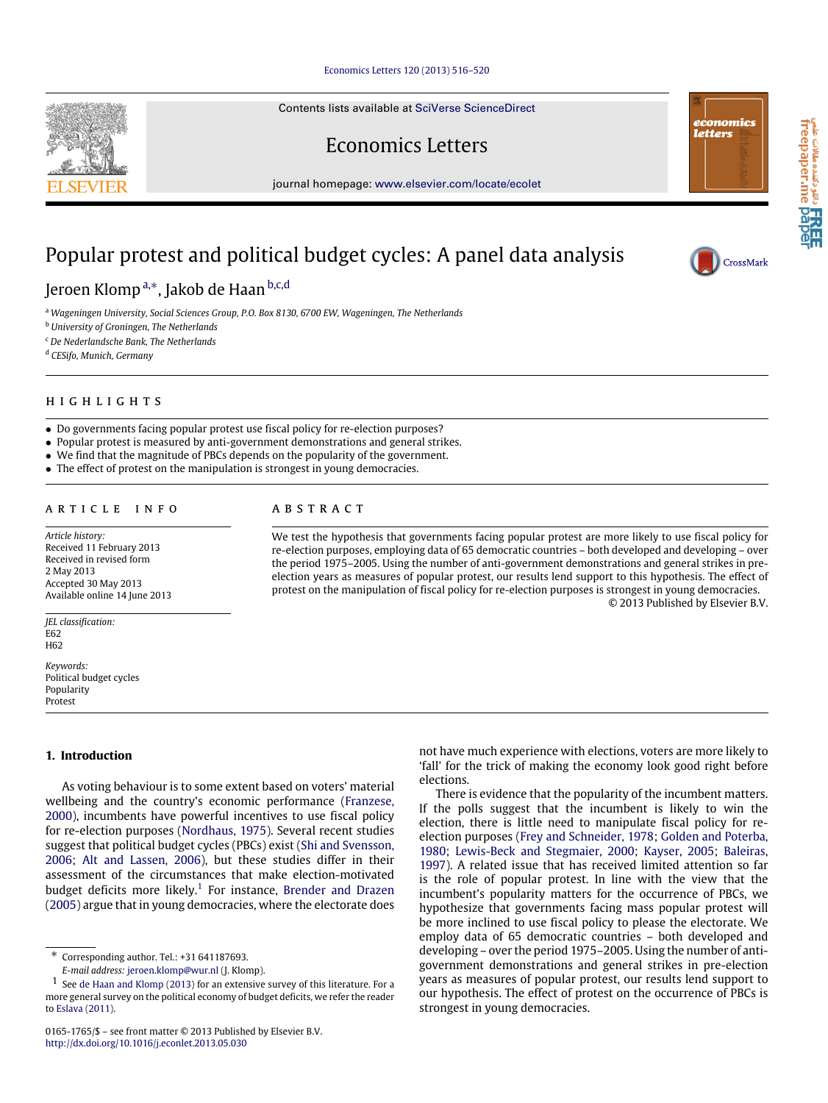## [Economics Letters 120 \(2013\) 516–520](http://dx.doi.org/10.1016/j.econlet.2013.05.030)

Contents lists available at [SciVerse ScienceDirect](http://www.elsevier.com/locate/ecolet)

# Economics Letters

journal homepage: [www.elsevier.com/locate/ecolet](http://www.elsevier.com/locate/ecolet)

# Popular protest and political budget cycles: A panel data analysis

# Jeroen Klomp<sup>[a,](#page-0-0)[∗](#page-0-1)</sup>, Jakob de Haan <sup>[b,](#page-0-2)[c](#page-0-3)[,d](#page-0-4)</sup>

<span id="page-0-0"></span><sup>a</sup> *Wageningen University, Social Sciences Group, P.O. Box 8130, 6700 EW, Wageningen, The Netherlands*

<span id="page-0-2"></span><sup>b</sup> *University of Groningen, The Netherlands*

<span id="page-0-3"></span><sup>c</sup> *De Nederlandsche Bank, The Netherlands*

<span id="page-0-4"></span><sup>d</sup> *CESifo, Munich, Germany*

# h i g h l i g h t s

• Do governments facing popular protest use fiscal policy for re-election purposes?

- Popular protest is measured by anti-government demonstrations and general strikes.
- We find that the magnitude of PBCs depends on the popularity of the government.
- The effect of protest on the manipulation is strongest in young democracies.

# ARTICLE INFO

*Article history:* Received 11 February 2013 Received in revised form 2 May 2013 Accepted 30 May 2013 Available online 14 June 2013

*JEL classification:* E62 H<sub>62</sub>

*Keywords:* Political budget cycles Popularity Protest

## **1. Introduction**

As voting behaviour is to some extent based on voters' material wellbeing and the country's economic performance [\(Franzese,](#page-4-0) [2000\)](#page-4-0), incumbents have powerful incentives to use fiscal policy for re-election purposes [\(Nordhaus,](#page-4-1) [1975\)](#page-4-1). Several recent studies suggest that political budget cycles (PBCs) exist [\(Shi](#page-4-2) [and](#page-4-2) [Svensson,](#page-4-2) [2006;](#page-4-2) [Alt](#page-4-3) [and](#page-4-3) [Lassen,](#page-4-3) [2006\)](#page-4-3), but these studies differ in their assessment of the circumstances that make election-motivated budget deficits more likely.<sup>[1](#page-0-5)</sup> For instance, [Brender](#page-4-4) [and](#page-4-4) [Drazen](#page-4-4) [\(2005\)](#page-4-4) argue that in young democracies, where the electorate does

<span id="page-0-5"></span><span id="page-0-1"></span>*E-mail address:* [jeroen.klomp@wur.nl](mailto:jeroen.klomp@wur.nl) (J. Klomp).

## a b s t r a c t

We test the hypothesis that governments facing popular protest are more likely to use fiscal policy for re-election purposes, employing data of 65 democratic countries – both developed and developing – over the period 1975–2005. Using the number of anti-government demonstrations and general strikes in preelection years as measures of popular protest, our results lend support to this hypothesis. The effect of protest on the manipulation of fiscal policy for re-election purposes is strongest in young democracies. © 2013 Published by Elsevier B.V.

> not have much experience with elections, voters are more likely to 'fall' for the trick of making the economy look good right before elections.

> There is evidence that the popularity of the incumbent matters. If the polls suggest that the incumbent is likely to win the election, there is little need to manipulate fiscal policy for reelection purposes [\(Frey](#page-4-7) [and](#page-4-7) [Schneider,](#page-4-7) [1978;](#page-4-7) [Golden](#page-4-8) [and](#page-4-8) [Poterba,](#page-4-8) [1980;](#page-4-8) [Lewis-Beck](#page-4-9) [and](#page-4-9) [Stegmaier,](#page-4-9) [2000;](#page-4-9) [Kayser,](#page-4-10) [2005;](#page-4-10) [Baleiras,](#page-4-11) [1997\)](#page-4-11). A related issue that has received limited attention so far is the role of popular protest. In line with the view that the incumbent's popularity matters for the occurrence of PBCs, we hypothesize that governments facing mass popular protest will be more inclined to use fiscal policy to please the electorate. We employ data of 65 democratic countries – both developed and developing – over the period 1975–2005. Using the number of antigovernment demonstrations and general strikes in pre-election years as measures of popular protest, our results lend support to our hypothesis. The effect of protest on the occurrence of PBCs is strongest in young democracies.





economics

letters

<sup>∗</sup> Corresponding author. Tel.: +31 641187693.

 $1$  See [de](#page-4-5) [Haan](#page-4-5) [and](#page-4-5) [Klomp](#page-4-5) [\(2013\)](#page-4-5) for an extensive survey of this literature. For a more general survey on the political economy of budget deficits, we refer the reader to [Eslava](#page-4-6) [\(2011\)](#page-4-6).

<sup>0165-1765/\$ –</sup> see front matter © 2013 Published by Elsevier B.V. <http://dx.doi.org/10.1016/j.econlet.2013.05.030>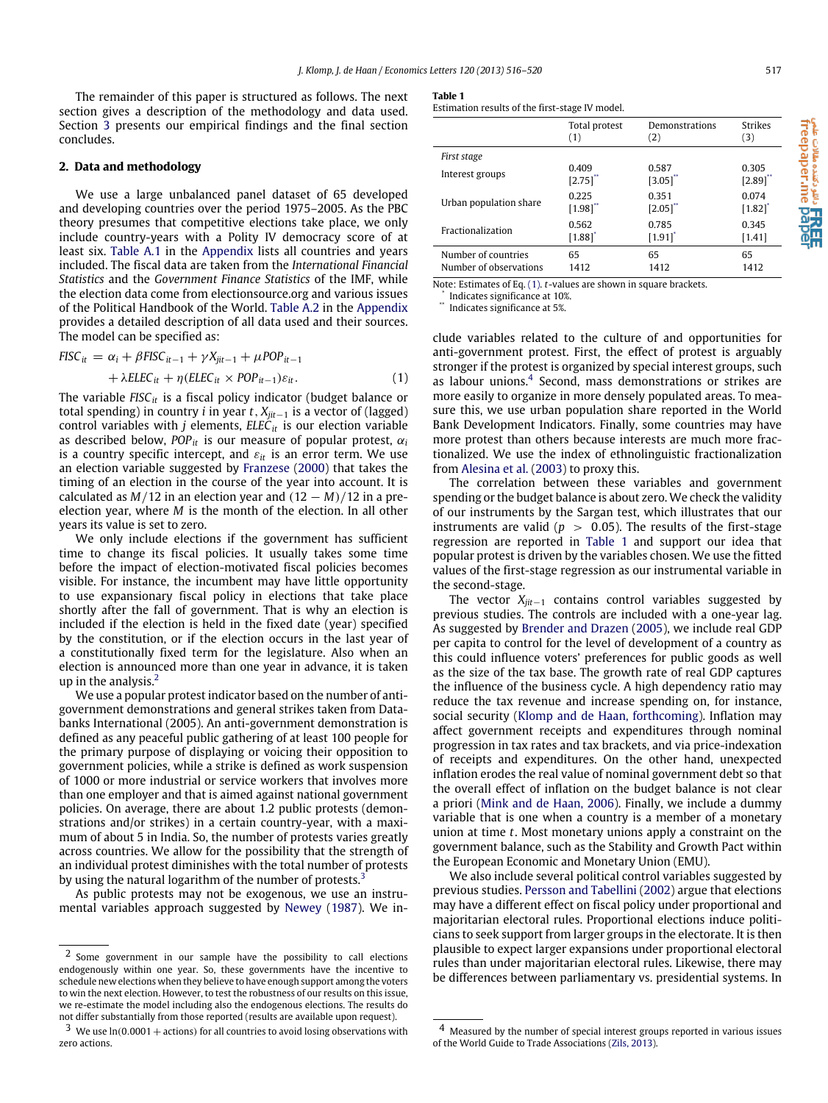The remainder of this paper is structured as follows. The next section gives a description of the methodology and data used. Section [3](#page-2-0) presents our empirical findings and the final section concludes.

## **2. Data and methodology**

We use a large unbalanced panel dataset of 65 developed and developing countries over the period 1975–2005. As the PBC theory presumes that competitive elections take place, we only include country-years with a Polity IV democracy score of at least six. [Table A.1](#page-4-12) in the [Appendix](#page-4-13) lists all countries and years included. The fiscal data are taken from the *International Financial Statistics* and the *Government Finance Statistics* of the IMF, while the election data come from electionsource.org and various issues of the Political Handbook of the World. [Table A.2](#page-4-14) in the [Appendix](#page-4-13) provides a detailed description of all data used and their sources. The model can be specified as:

$$
FISC_{it} = \alpha_i + \beta FISC_{it-1} + \gamma X_{jit-1} + \mu POP_{it-1} + \lambda ELEC_{it} + \eta (ELEC_{it} \times POP_{it-1}) \varepsilon_{it}.
$$
 (1)

The variable *FISCit* is a fiscal policy indicator (budget balance or total spending) in country *i* in year *t*, *Xjit*−<sup>1</sup> is a vector of (lagged) control variables with *j* elements, *ELECit* is our election variable as described below,  $POP_{it}$  is our measure of popular protest,  $\alpha_i$ is a country specific intercept, and  $\varepsilon_{it}$  is an error term. We use an election variable suggested by [Franzese](#page-4-0) [\(2000\)](#page-4-0) that takes the timing of an election in the course of the year into account. It is calculated as  $M/12$  in an election year and  $(12 - M)/12$  in a preelection year, where *M* is the month of the election. In all other years its value is set to zero.

We only include elections if the government has sufficient time to change its fiscal policies. It usually takes some time before the impact of election-motivated fiscal policies becomes visible. For instance, the incumbent may have little opportunity to use expansionary fiscal policy in elections that take place shortly after the fall of government. That is why an election is included if the election is held in the fixed date (year) specified by the constitution, or if the election occurs in the last year of a constitutionally fixed term for the legislature. Also when an election is announced more than one year in advance, it is taken up in the analysis.[2](#page-1-0)

We use a popular protest indicator based on the number of antigovernment demonstrations and general strikes taken from Databanks International (2005). An anti-government demonstration is defined as any peaceful public gathering of at least 100 people for the primary purpose of displaying or voicing their opposition to government policies, while a strike is defined as work suspension of 1000 or more industrial or service workers that involves more than one employer and that is aimed against national government policies. On average, there are about 1.2 public protests (demonstrations and/or strikes) in a certain country-year, with a maximum of about 5 in India. So, the number of protests varies greatly across countries. We allow for the possibility that the strength of an individual protest diminishes with the total number of protests by using the natural logarithm of the number of protests.<sup>[3](#page-1-1)</sup>

As public protests may not be exogenous, we use an instrumental variables approach suggested by [Newey](#page-4-15) [\(1987\)](#page-4-15). We in-

## <span id="page-1-6"></span>**Table 1**

Estimation results of the first-stage IV model.

|                        | Total protest         | Demonstrations        | Strikes  |
|------------------------|-----------------------|-----------------------|----------|
|                        | (1)                   | (2)                   | (3)      |
| First stage            |                       |                       |          |
| Interest groups        | 0.409                 | 0.587                 | 0.305    |
|                        | [2.75]                | [3.05]                | [2.89]   |
| Urban population share | 0.225                 | 0.351                 | 0.074    |
|                        | [1.98]                | $\left[2.05\right]$   | $[1.82]$ |
| Fractionalization      | 0.562                 | 0.785                 | 0.345    |
|                        | $[1.88]$ <sup>*</sup> | $[1.91]$ <sup>*</sup> | [1.41]   |
| Number of countries    | 65                    | 65                    | 65       |
| Number of observations | 1412                  | 1412                  | 1412     |

Note: Estimates of Eq. [\(1\).](#page-1-4) *t*-values are shown in square brackets.

<span id="page-1-3"></span><span id="page-1-2"></span>\* Indicates significance at 10%. \*\* Indicates significance at 5%.

<span id="page-1-4"></span>clude variables related to the culture of and opportunities for anti-government protest. First, the effect of protest is arguably stronger if the protest is organized by special interest groups, such as labour unions.<sup>[4](#page-1-5)</sup> Second, mass demonstrations or strikes are more easily to organize in more densely populated areas. To measure this, we use urban population share reported in the World Bank Development Indicators. Finally, some countries may have more protest than others because interests are much more fractionalized. We use the index of ethnolinguistic fractionalization from [Alesina](#page-4-16) [et al.](#page-4-16) [\(2003\)](#page-4-16) to proxy this.

The correlation between these variables and government spending or the budget balance is about zero. We check the validity of our instruments by the Sargan test, which illustrates that our instruments are valid ( $p > 0.05$ ). The results of the first-stage regression are reported in [Table 1](#page-1-6) and support our idea that popular protest is driven by the variables chosen. We use the fitted values of the first-stage regression as our instrumental variable in the second-stage.

The vector *Xjit*−<sup>1</sup> contains control variables suggested by previous studies. The controls are included with a one-year lag. As suggested by [Brender](#page-4-4) [and](#page-4-4) [Drazen](#page-4-4) [\(2005\)](#page-4-4), we include real GDP per capita to control for the level of development of a country as this could influence voters' preferences for public goods as well as the size of the tax base. The growth rate of real GDP captures the influence of the business cycle. A high dependency ratio may reduce the tax revenue and increase spending on, for instance, social security [\(Klomp](#page-4-17) [and](#page-4-17) [de](#page-4-17) [Haan,](#page-4-17) [forthcoming\)](#page-4-17). Inflation may affect government receipts and expenditures through nominal progression in tax rates and tax brackets, and via price-indexation of receipts and expenditures. On the other hand, unexpected inflation erodes the real value of nominal government debt so that the overall effect of inflation on the budget balance is not clear a priori [\(Mink](#page-4-18) [and](#page-4-18) [de](#page-4-18) [Haan,](#page-4-18) [2006\)](#page-4-18). Finally, we include a dummy variable that is one when a country is a member of a monetary union at time *t*. Most monetary unions apply a constraint on the government balance, such as the Stability and Growth Pact within the European Economic and Monetary Union (EMU).

We also include several political control variables suggested by previous studies. [Persson](#page-4-19) [and](#page-4-19) [Tabellini](#page-4-19) [\(2002\)](#page-4-19) argue that elections may have a different effect on fiscal policy under proportional and majoritarian electoral rules. Proportional elections induce politicians to seek support from larger groups in the electorate. It is then plausible to expect larger expansions under proportional electoral rules than under majoritarian electoral rules. Likewise, there may be differences between parliamentary vs. presidential systems. In

<span id="page-1-0"></span><sup>2</sup> Some government in our sample have the possibility to call elections endogenously within one year. So, these governments have the incentive to schedule new elections when they believe to have enough support among the voters to win the next election. However, to test the robustness of our results on this issue, we re-estimate the model including also the endogenous elections. The results do not differ substantially from those reported (results are available upon request).

<span id="page-1-1"></span> $3$  We use  $ln(0.0001 +$  actions) for all countries to avoid losing observations with zero actions.

<span id="page-1-5"></span><sup>4</sup> Measured by the number of special interest groups reported in various issues of the World Guide to Trade Associations [\(Zils,](#page-4-20) [2013\)](#page-4-20).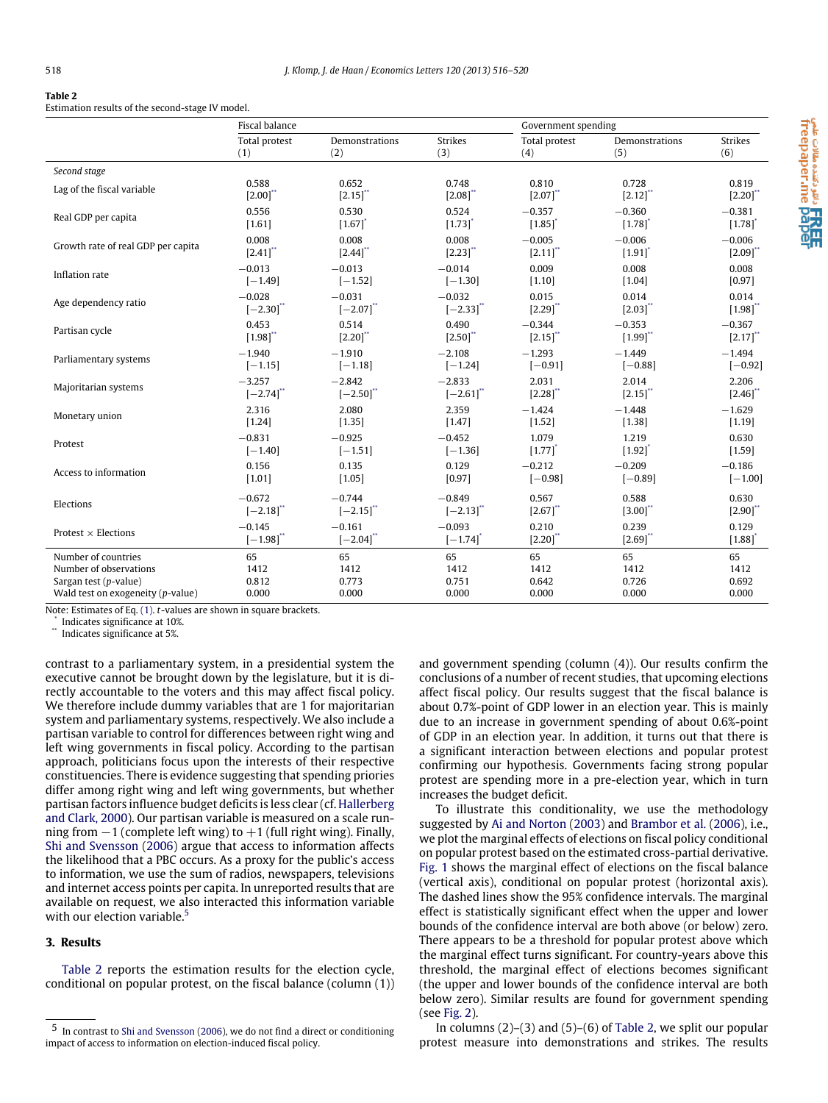#### <span id="page-2-4"></span>**Table 2**

Estimation results of the second-stage IV model.

|                                      | Fiscal balance |                         |                | Government spending   |                       |                        |
|--------------------------------------|----------------|-------------------------|----------------|-----------------------|-----------------------|------------------------|
|                                      | Total protest  | Demonstrations          | <b>Strikes</b> | Total protest         | Demonstrations        | <b>Strikes</b>         |
|                                      | (1)            | (2)                     | (3)            | (4)                   | (5)                   | (6)                    |
| Second stage                         |                |                         |                |                       |                       |                        |
| Lag of the fiscal variable           | 0.588          | 0.652                   | 0.748          | 0.810                 | 0.728                 | 0.819                  |
|                                      | [2.00]         | [2.15]                  | [2.08]         | [2.07]                | [2.12]                | [2.20]                 |
| Real GDP per capita                  | 0.556          | 0.530                   | 0.524          | $-0.357$              | $-0.360$              | $-0.381$               |
|                                      | [1.61]         | [1.67]                  | $[1.73]$       | $[1.85]$ <sup>*</sup> | $[1.78]$ <sup>*</sup> | $[1.78]$ <sup>*</sup>  |
| Growth rate of real GDP per capita   | 0.008          | 0.008                   | 0.008          | $-0.005$              | $-0.006$              | $-0.006$               |
|                                      | $[2.41]$ "     | [2.44]                  | [2.23]         | [2.11]                | [1.91]                | [2.09]                 |
| Inflation rate                       | $-0.013$       | $-0.013$                | $-0.014$       | 0.009                 | 0.008                 | 0.008                  |
|                                      | $[-1.49]$      | $[-1.52]$               | $[-1.30]$      | [1.10]                | [1.04]                | [0.97]                 |
| Age dependency ratio                 | $-0.028$       | $-0.031$                | $-0.032$       | 0.015                 | 0.014                 | 0.014                  |
|                                      | $[-2.30]$      | $[-2.07]$               | $[-2.33]$      | [2.29]                | [2.03]                | [1.98]                 |
| Partisan cycle                       | 0.453          | 0.514                   | 0.490          | $-0.344$              | $-0.353$              | $-0.367$               |
|                                      | [1.98]         | [2.20]                  | [2.50]         | [2.15]                | [1.99]                | $[2.17]$ <sup>**</sup> |
| Parliamentary systems                | $-1.940$       | $-1.910$                | $-2.108$       | $-1.293$              | $-1.449$              | $-1.494$               |
|                                      | $[-1.15]$      | $[-1.18]$               | $[-1.24]$      | $[-0.91]$             | $[-0.88]$             | $[-0.92]$              |
| Majoritarian systems                 | $-3.257$       | $-2.842$                | $-2.833$       | 2.031                 | 2.014                 | 2.206                  |
|                                      | $[-2.74]$      | $[-2.50]$               | $[-2.61]$      | [2.28]                | [2.15]                | [2.46]                 |
| Monetary union                       | 2.316          | 2.080                   | 2.359          | $-1.424$              | $-1.448$              | $-1.629$               |
|                                      | [1.24]         | [1.35]                  | [1.47]         | [1.52]                | [1.38]                | [1.19]                 |
| Protest                              | $-0.831$       | $-0.925$                | $-0.452$       | 1.079                 | 1.219                 | 0.630                  |
|                                      | $[-1.40]$      | $[-1.51]$               | $[-1.36]$      | $[1.77]$              | $\left[ 1.92 \right]$ | [1.59]                 |
| Access to information                | 0.156          | 0.135                   | 0.129          | $-0.212$              | $-0.209$              | $-0.186$               |
|                                      | [1.01]         | [1.05]                  | [0.97]         | $[-0.98]$             | $[-0.89]$             | $[-1.00]$              |
| Elections                            | $-0.672$       | $-0.744$                | $-0.849$       | 0.567                 | 0.588                 | 0.630                  |
|                                      | $[-2.18]$      | $[-2.15]$ <sup>**</sup> | $[-2.13]$      | [2.67]                | [3.00]                | [2.90]                 |
| Protest $\times$ Elections           | $-0.145$       | $-0.161$                | $-0.093$       | 0.210                 | 0.239                 | 0.129                  |
|                                      | $[-1.98]^{**}$ | $[-2.04]$ "             | $[-1.74]$      | [2.20]                | [2.69]                | [1.88]                 |
| Number of countries                  | 65             | 65                      | 65             | 65                    | 65                    | 65                     |
| Number of observations               | 1412           | 1412                    | 1412           | 1412                  | 1412                  | 1412                   |
| Sargan test ( $p$ -value)            | 0.812          | 0.773                   | 0.751          | 0.642                 | 0.726                 | 0.692                  |
| Wald test on exogeneity $(p$ -value) | 0.000          | 0.000                   | 0.000          | 0.000                 | 0.000                 | 0.000                  |

Note: Estimates of Eq. [\(1\).](#page-1-4) *t*-values are shown in square brackets.

<span id="page-2-2"></span>\* Indicates significance at 10%.

<span id="page-2-1"></span>Indicates significance at 5%.

contrast to a parliamentary system, in a presidential system the executive cannot be brought down by the legislature, but it is directly accountable to the voters and this may affect fiscal policy. We therefore include dummy variables that are 1 for majoritarian system and parliamentary systems, respectively. We also include a partisan variable to control for differences between right wing and left wing governments in fiscal policy. According to the partisan approach, politicians focus upon the interests of their respective constituencies. There is evidence suggesting that spending priories differ among right wing and left wing governments, but whether partisan factors influence budget deficits is less clear (cf. [Hallerberg](#page-4-21) [and](#page-4-21) [Clark,](#page-4-21) [2000\)](#page-4-21). Our partisan variable is measured on a scale running from  $-1$  (complete left wing) to  $+1$  (full right wing). Finally, [Shi](#page-4-2) [and](#page-4-2) [Svensson](#page-4-2) [\(2006\)](#page-4-2) argue that access to information affects the likelihood that a PBC occurs. As a proxy for the public's access to information, we use the sum of radios, newspapers, televisions and internet access points per capita. In unreported results that are available on request, we also interacted this information variable with our election variable.<sup>[5](#page-2-3)</sup>

## <span id="page-2-0"></span>**3. Results**

[Table 2](#page-2-4) reports the estimation results for the election cycle, conditional on popular protest, on the fiscal balance (column (1)) and government spending (column (4)). Our results confirm the conclusions of a number of recent studies, that upcoming elections affect fiscal policy. Our results suggest that the fiscal balance is about 0.7%-point of GDP lower in an election year. This is mainly due to an increase in government spending of about 0.6%-point of GDP in an election year. In addition, it turns out that there is a significant interaction between elections and popular protest confirming our hypothesis. Governments facing strong popular protest are spending more in a pre-election year, which in turn increases the budget deficit.

To illustrate this conditionality, we use the methodology suggested by [Ai](#page-4-22) [and](#page-4-22) [Norton](#page-4-22) [\(2003\)](#page-4-22) and [Brambor](#page-4-23) [et al.](#page-4-23) [\(2006\)](#page-4-23), i.e., we plot the marginal effects of elections on fiscal policy conditional on popular protest based on the estimated cross-partial derivative. [Fig. 1](#page-3-0) shows the marginal effect of elections on the fiscal balance (vertical axis), conditional on popular protest (horizontal axis). The dashed lines show the 95% confidence intervals. The marginal effect is statistically significant effect when the upper and lower bounds of the confidence interval are both above (or below) zero. There appears to be a threshold for popular protest above which the marginal effect turns significant. For country-years above this threshold, the marginal effect of elections becomes significant (the upper and lower bounds of the confidence interval are both below zero). Similar results are found for government spending (see [Fig. 2\)](#page-3-1).

In columns  $(2)-(3)$  and  $(5)-(6)$  of [Table 2,](#page-2-4) we split our popular protest measure into demonstrations and strikes. The results

<span id="page-2-3"></span><sup>5</sup> In contrast to [Shi](#page-4-2) [and](#page-4-2) [Svensson](#page-4-2) [\(2006\)](#page-4-2), we do not find a direct or conditioning impact of access to information on election-induced fiscal policy.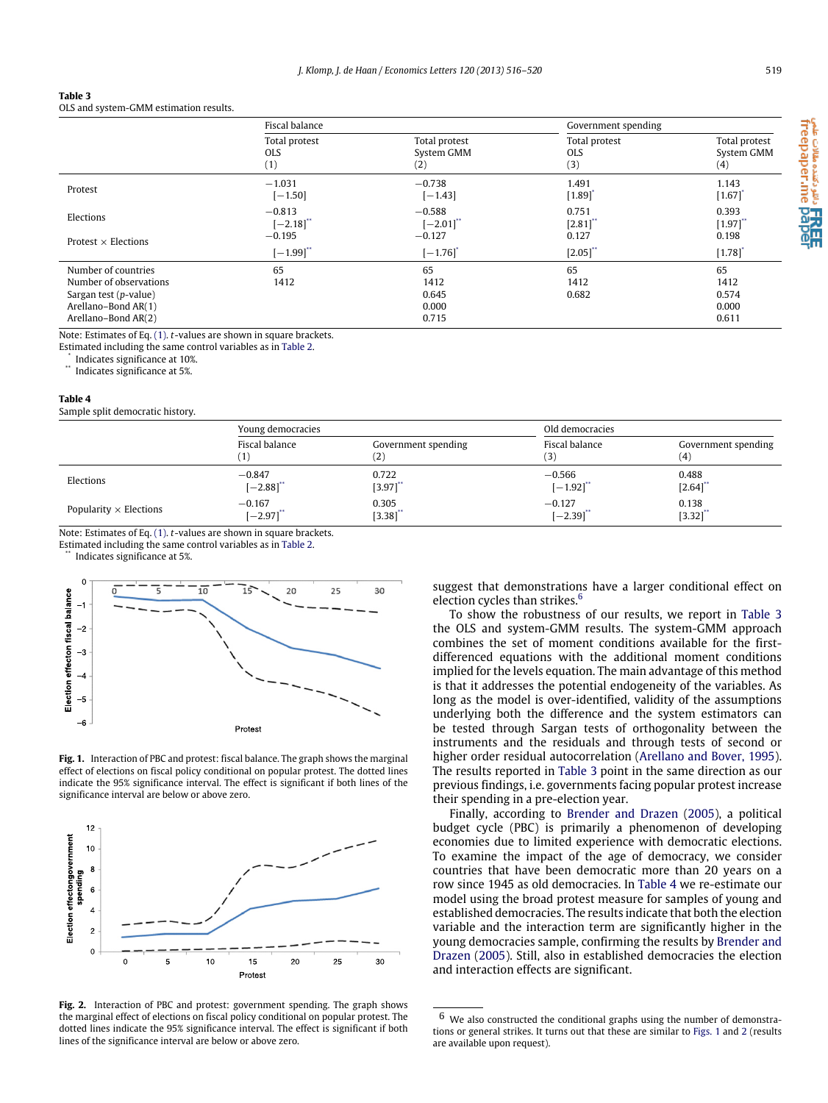<span id="page-3-6"></span>

| Table 3 |  |  |  |  |
|---------|--|--|--|--|
|         |  |  |  |  |

OLS and system-GMM estimation results.

|                                               | Fiscal balance                     |                                    | Government spending                |                                    |
|-----------------------------------------------|------------------------------------|------------------------------------|------------------------------------|------------------------------------|
|                                               | Total protest<br><b>OLS</b><br>(1) | Total protest<br>System GMM<br>(2) | Total protest<br><b>OLS</b><br>(3) | Total protest<br>System GMM<br>(4) |
| Protest                                       | $-1.031$<br>$[-1.50]$              | $-0.738$<br>$[-1.43]$              | 1.491<br>[1.89]                    | 1.143<br>$[1.67]$                  |
| Elections<br>Protest $\times$ Elections       | $-0.813$<br>$[-2.18]$<br>$-0.195$  | $-0.588$<br>$[-2.01]$<br>$-0.127$  | 0.751<br>[2.81]<br>0.127           | 0.393<br>[1.97]<br>0.198           |
|                                               | $[-1.99]$ "                        | $[-1.76]$                          | $[2.05]$ "                         | [1.78]                             |
| Number of countries<br>Number of observations | 65<br>1412                         | 65<br>1412                         | 65<br>1412                         | 65<br>1412                         |
| Sargan test (p-value)<br>Arellano-Bond AR(1)  |                                    | 0.645<br>0.000                     | 0.682                              | 0.574<br>0.000                     |
| Arellano-Bond AR(2)                           |                                    | 0.715                              |                                    | 0.611                              |

Note: Estimates of Eq. [\(1\).](#page-1-4) *t*-values are shown in square brackets.

Estimated including the same control variables as in [Table 2.](#page-2-4)

<span id="page-3-3"></span><span id="page-3-2"></span>\* Indicates significance at 10%.

Indicates significance at 5%.

### <span id="page-3-7"></span>**Table 4**

Sample split democratic history.

|                               | Young democracies                  |                           | Old democracies         |                            |
|-------------------------------|------------------------------------|---------------------------|-------------------------|----------------------------|
|                               | Fiscal balance<br>$\left  \right $ | Government spending<br>2) | Fiscal balance          | Government spending<br>(4) |
| Elections                     | $-0.847$                           | 0.722                     | $-0.566$                | 0.488                      |
|                               | $[-2.88]$ "                        | [3.97]                    | $[-1.92]$ <sup>**</sup> | [2.64]                     |
| Popularity $\times$ Elections | $-0.167$                           | 0.305                     | $-0.127$                | 0.138                      |
|                               | $[-2.97]$                          | $[3.38]$                  | $[-2.39]$               | $[3.32]$                   |

Note: Estimates of Eq. [\(1\).](#page-1-4) *t*-values are shown in square brackets.

<span id="page-3-4"></span>Estimated including the same control variables as in [Table 2.](#page-2-4)

Indicates significance at 5%.

<span id="page-3-0"></span>

**Fig. 1.** Interaction of PBC and protest: fiscal balance. The graph shows the marginal effect of elections on fiscal policy conditional on popular protest. The dotted lines indicate the 95% significance interval. The effect is significant if both lines of the significance interval are below or above zero.

<span id="page-3-1"></span>

**Fig. 2.** Interaction of PBC and protest: government spending. The graph shows the marginal effect of elections on fiscal policy conditional on popular protest. The dotted lines indicate the 95% significance interval. The effect is significant if both lines of the significance interval are below or above zero.

suggest that demonstrations have a larger conditional effect on election cycles than strikes.<sup>[6](#page-3-5)</sup>

To show the robustness of our results, we report in [Table 3](#page-3-6) the OLS and system-GMM results. The system-GMM approach combines the set of moment conditions available for the firstdifferenced equations with the additional moment conditions implied for the levels equation. The main advantage of this method is that it addresses the potential endogeneity of the variables. As long as the model is over-identified, validity of the assumptions underlying both the difference and the system estimators can be tested through Sargan tests of orthogonality between the instruments and the residuals and through tests of second or higher order residual autocorrelation [\(Arellano](#page-4-24) [and](#page-4-24) [Bover,](#page-4-24) [1995\)](#page-4-24). The results reported in [Table 3](#page-3-6) point in the same direction as our previous findings, i.e. governments facing popular protest increase their spending in a pre-election year.

Finally, according to [Brender](#page-4-4) [and](#page-4-4) [Drazen](#page-4-4) [\(2005\)](#page-4-4), a political budget cycle (PBC) is primarily a phenomenon of developing economies due to limited experience with democratic elections. To examine the impact of the age of democracy, we consider countries that have been democratic more than 20 years on a row since 1945 as old democracies. In [Table 4](#page-3-7) we re-estimate our model using the broad protest measure for samples of young and established democracies. The results indicate that both the election variable and the interaction term are significantly higher in the young democracies sample, confirming the results by [Brender](#page-4-4) [and](#page-4-4) [Drazen](#page-4-4) [\(2005\)](#page-4-4). Still, also in established democracies the election and interaction effects are significant.

a تا **HREE**<br>freepaper.me pape

<span id="page-3-5"></span> $6$  We also constructed the conditional graphs using the number of demonstrations or general strikes. It turns out that these are similar to [Figs. 1](#page-3-0) and [2](#page-3-1) (results are available upon request).